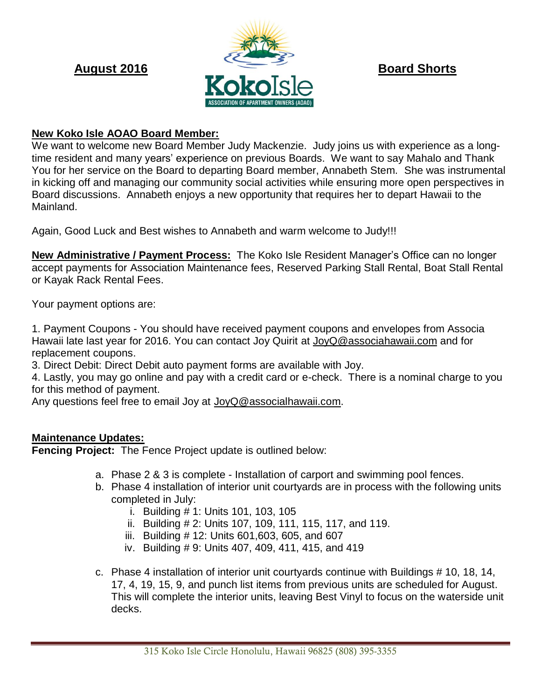

### **New Koko Isle AOAO Board Member:**

We want to welcome new Board Member Judy Mackenzie. Judy joins us with experience as a longtime resident and many years' experience on previous Boards. We want to say Mahalo and Thank You for her service on the Board to departing Board member, Annabeth Stem. She was instrumental in kicking off and managing our community social activities while ensuring more open perspectives in Board discussions. Annabeth enjoys a new opportunity that requires her to depart Hawaii to the Mainland.

Again, Good Luck and Best wishes to Annabeth and warm welcome to Judy!!!

**New Administrative / Payment Process:** The Koko Isle Resident Manager's Office can no longer accept payments for Association Maintenance fees, Reserved Parking Stall Rental, Boat Stall Rental or Kayak Rack Rental Fees.

Your payment options are:

1. Payment Coupons - You should have received payment coupons and envelopes from Associa Hawaii late last year for 2016. You can contact Joy Quirit at JoyQ@associahawaii.com and for replacement coupons.

3. Direct Debit: Direct Debit auto payment forms are available with Joy.

4. Lastly, you may go online and pay with a credit card or e-check. There is a nominal charge to you for this method of payment.

Any questions feel free to email Joy at [JoyQ@associalhawaii.com.](mailto:JoyQ@associalhawaii.com)

### **Maintenance Updates:**

**Fencing Project:** The Fence Project update is outlined below:

- a. Phase 2 & 3 is complete Installation of carport and swimming pool fences.
- b. Phase 4 installation of interior unit courtyards are in process with the following units completed in July:
	- i. Building # 1: Units 101, 103, 105
	- ii. Building # 2: Units 107, 109, 111, 115, 117, and 119.
	- iii. Building # 12: Units 601,603, 605, and 607
	- iv. Building # 9: Units 407, 409, 411, 415, and 419
- c. Phase 4 installation of interior unit courtyards continue with Buildings # 10, 18, 14, 17, 4, 19, 15, 9, and punch list items from previous units are scheduled for August. This will complete the interior units, leaving Best Vinyl to focus on the waterside unit decks.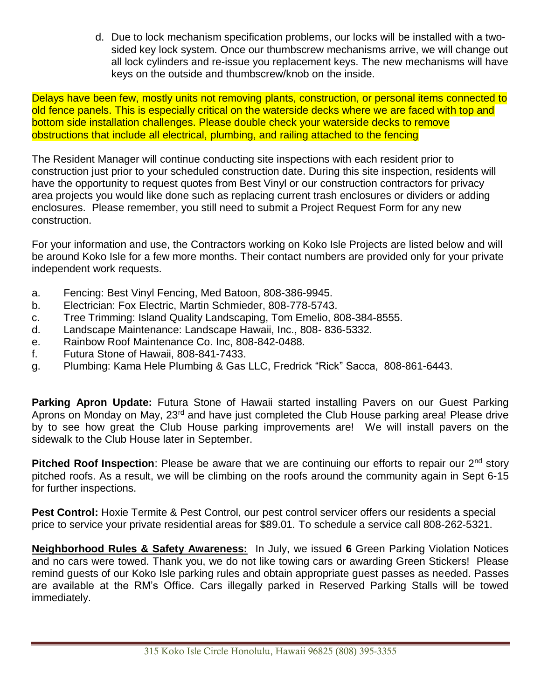d. Due to lock mechanism specification problems, our locks will be installed with a twosided key lock system. Once our thumbscrew mechanisms arrive, we will change out all lock cylinders and re-issue you replacement keys. The new mechanisms will have keys on the outside and thumbscrew/knob on the inside.

Delays have been few, mostly units not removing plants, construction, or personal items connected to old fence panels. This is especially critical on the waterside decks where we are faced with top and bottom side installation challenges. Please double check your waterside decks to remove obstructions that include all electrical, plumbing, and railing attached to the fencing

The Resident Manager will continue conducting site inspections with each resident prior to construction just prior to your scheduled construction date. During this site inspection, residents will have the opportunity to request quotes from Best Vinyl or our construction contractors for privacy area projects you would like done such as replacing current trash enclosures or dividers or adding enclosures. Please remember, you still need to submit a Project Request Form for any new construction.

For your information and use, the Contractors working on Koko Isle Projects are listed below and will be around Koko Isle for a few more months. Their contact numbers are provided only for your private independent work requests.

- a. Fencing: Best Vinyl Fencing, Med Batoon, 808-386-9945.
- b. Electrician: Fox Electric, Martin Schmieder, 808-778-5743.
- c. Tree Trimming: Island Quality Landscaping, Tom Emelio, 808-384-8555.
- d. Landscape Maintenance: Landscape Hawaii, Inc., 808- 836-5332.
- e. Rainbow Roof Maintenance Co. Inc, 808-842-0488.
- f. Futura Stone of Hawaii, 808-841-7433.
- g. Plumbing: Kama Hele Plumbing & Gas LLC, Fredrick "Rick" Sacca, 808-861-6443.

**Parking Apron Update:** Futura Stone of Hawaii started installing Pavers on our Guest Parking Aprons on Monday on May, 23<sup>rd</sup> and have just completed the Club House parking area! Please drive by to see how great the Club House parking improvements are! We will install pavers on the sidewalk to the Club House later in September.

**Pitched Roof Inspection**: Please be aware that we are continuing our efforts to repair our 2<sup>nd</sup> story pitched roofs. As a result, we will be climbing on the roofs around the community again in Sept 6-15 for further inspections.

**Pest Control:** Hoxie Termite & Pest Control, our pest control servicer offers our residents a special price to service your private residential areas for \$89.01. To schedule a service call 808-262-5321.

**Neighborhood Rules & Safety Awareness:** In July, we issued **6** Green Parking Violation Notices and no cars were towed. Thank you, we do not like towing cars or awarding Green Stickers! Please remind guests of our Koko Isle parking rules and obtain appropriate guest passes as needed. Passes are available at the RM's Office. Cars illegally parked in Reserved Parking Stalls will be towed immediately.